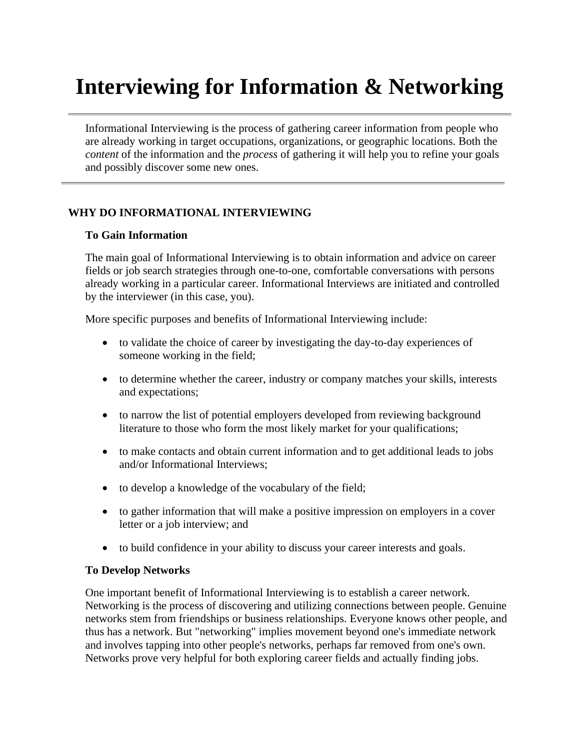# **Interviewing for Information & Networking**

Informational Interviewing is the process of gathering career information from people who are already working in target occupations, organizations, or geographic locations. Both the *content* of the information and the *process* of gathering it will help you to refine your goals and possibly discover some new ones.

# **WHY DO INFORMATIONAL INTERVIEWING**

# **To Gain Information**

The main goal of Informational Interviewing is to obtain information and advice on career fields or job search strategies through one-to-one, comfortable conversations with persons already working in a particular career. Informational Interviews are initiated and controlled by the interviewer (in this case, you).

More specific purposes and benefits of Informational Interviewing include:

- to validate the choice of career by investigating the day-to-day experiences of someone working in the field;
- to determine whether the career, industry or company matches your skills, interests and expectations;
- to narrow the list of potential employers developed from reviewing background literature to those who form the most likely market for your qualifications;
- to make contacts and obtain current information and to get additional leads to jobs and/or Informational Interviews;
- to develop a knowledge of the vocabulary of the field;
- to gather information that will make a positive impression on employers in a cover letter or a job interview; and
- to build confidence in your ability to discuss your career interests and goals.

# **To Develop Networks**

One important benefit of Informational Interviewing is to establish a career network. Networking is the process of discovering and utilizing connections between people. Genuine networks stem from friendships or business relationships. Everyone knows other people, and thus has a network. But "networking" implies movement beyond one's immediate network and involves tapping into other people's networks, perhaps far removed from one's own. Networks prove very helpful for both exploring career fields and actually finding jobs.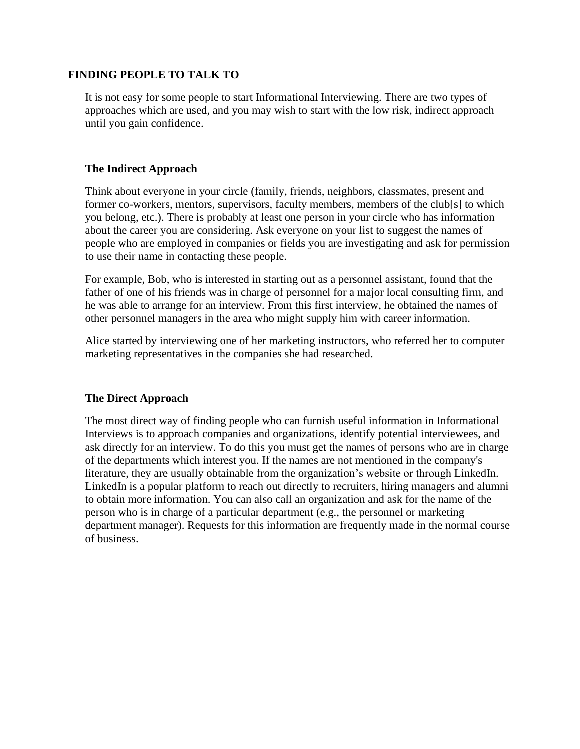#### **FINDING PEOPLE TO TALK TO**

It is not easy for some people to start Informational Interviewing. There are two types of approaches which are used, and you may wish to start with the low risk, indirect approach until you gain confidence.

#### **The Indirect Approach**

Think about everyone in your circle (family, friends, neighbors, classmates, present and former co-workers, mentors, supervisors, faculty members, members of the club[s] to which you belong, etc.). There is probably at least one person in your circle who has information about the career you are considering. Ask everyone on your list to suggest the names of people who are employed in companies or fields you are investigating and ask for permission to use their name in contacting these people.

For example, Bob, who is interested in starting out as a personnel assistant, found that the father of one of his friends was in charge of personnel for a major local consulting firm, and he was able to arrange for an interview. From this first interview, he obtained the names of other personnel managers in the area who might supply him with career information.

Alice started by interviewing one of her marketing instructors, who referred her to computer marketing representatives in the companies she had researched.

# **The Direct Approach**

The most direct way of finding people who can furnish useful information in Informational Interviews is to approach companies and organizations, identify potential interviewees, and ask directly for an interview. To do this you must get the names of persons who are in charge of the departments which interest you. If the names are not mentioned in the company's literature, they are usually obtainable from the organization's website or through LinkedIn. LinkedIn is a popular platform to reach out directly to recruiters, hiring managers and alumni to obtain more information. You can also call an organization and ask for the name of the person who is in charge of a particular department (e.g., the personnel or marketing department manager). Requests for this information are frequently made in the normal course of business.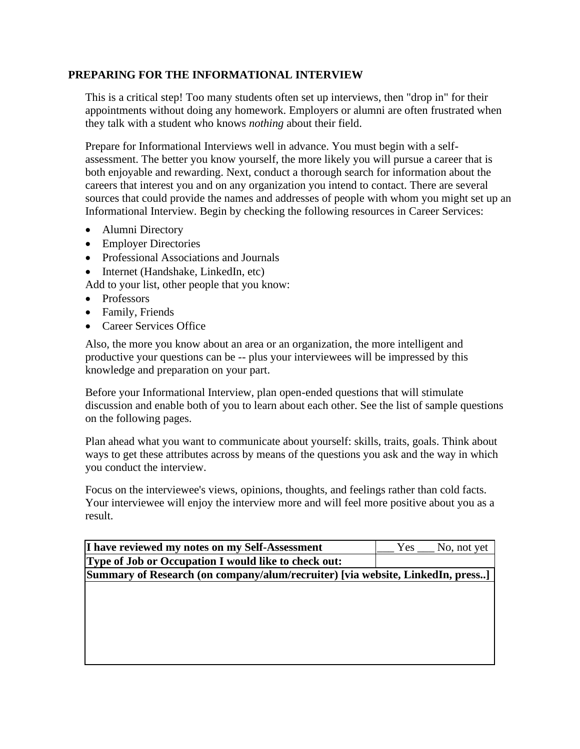#### **PREPARING FOR THE INFORMATIONAL INTERVIEW**

This is a critical step! Too many students often set up interviews, then "drop in" for their appointments without doing any homework. Employers or alumni are often frustrated when they talk with a student who knows *nothing* about their field.

Prepare for Informational Interviews well in advance. You must begin with a selfassessment. The better you know yourself, the more likely you will pursue a career that is both enjoyable and rewarding. Next, conduct a thorough search for information about the careers that interest you and on any organization you intend to contact. There are several sources that could provide the names and addresses of people with whom you might set up an Informational Interview. Begin by checking the following resources in Career Services:

- Alumni Directory
- Employer Directories
- Professional Associations and Journals
- Internet (Handshake, LinkedIn, etc)

Add to your list, other people that you know:

- Professors
- Family, Friends
- Career Services Office

Also, the more you know about an area or an organization, the more intelligent and productive your questions can be -- plus your interviewees will be impressed by this knowledge and preparation on your part.

Before your Informational Interview, plan open-ended questions that will stimulate discussion and enable both of you to learn about each other. See the list of sample questions on the following pages.

Plan ahead what you want to communicate about yourself: skills, traits, goals. Think about ways to get these attributes across by means of the questions you ask and the way in which you conduct the interview.

Focus on the interviewee's views, opinions, thoughts, and feelings rather than cold facts. Your interviewee will enjoy the interview more and will feel more positive about you as a result.

| I have reviewed my notes on my Self-Assessment                                  | No, not yet<br>Yes |  |
|---------------------------------------------------------------------------------|--------------------|--|
| Type of Job or Occupation I would like to check out:                            |                    |  |
| [Summary of Research (on company/alum/recruiter) [via website, LinkedIn, press] |                    |  |
|                                                                                 |                    |  |
|                                                                                 |                    |  |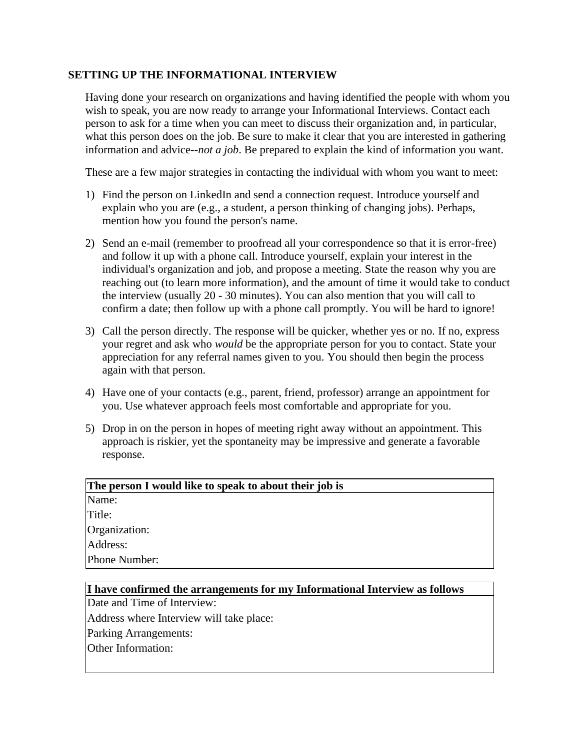#### **SETTING UP THE INFORMATIONAL INTERVIEW**

Having done your research on organizations and having identified the people with whom you wish to speak, you are now ready to arrange your Informational Interviews. Contact each person to ask for a time when you can meet to discuss their organization and, in particular, what this person does on the job. Be sure to make it clear that you are interested in gathering information and advice--*not a job*. Be prepared to explain the kind of information you want.

These are a few major strategies in contacting the individual with whom you want to meet:

- 1) Find the person on LinkedIn and send a connection request. Introduce yourself and explain who you are (e.g., a student, a person thinking of changing jobs). Perhaps, mention how you found the person's name.
- 2) Send an e-mail (remember to proofread all your correspondence so that it is error-free) and follow it up with a phone call. Introduce yourself, explain your interest in the individual's organization and job, and propose a meeting. State the reason why you are reaching out (to learn more information), and the amount of time it would take to conduct the interview (usually 20 - 30 minutes). You can also mention that you will call to confirm a date; then follow up with a phone call promptly. You will be hard to ignore!
- 3) Call the person directly. The response will be quicker, whether yes or no. If no, express your regret and ask who *would* be the appropriate person for you to contact. State your appreciation for any referral names given to you. You should then begin the process again with that person.
- 4) Have one of your contacts (e.g., parent, friend, professor) arrange an appointment for you. Use whatever approach feels most comfortable and appropriate for you.
- 5) Drop in on the person in hopes of meeting right away without an appointment. This approach is riskier, yet the spontaneity may be impressive and generate a favorable response.

| The person I would like to speak to about their job is |  |
|--------------------------------------------------------|--|
| Name:                                                  |  |
| Title:                                                 |  |
| Organization:                                          |  |
| Address:                                               |  |
| Phone Number:                                          |  |

#### **I have confirmed the arrangements for my Informational Interview as follows**

Date and Time of Interview:

Address where Interview will take place:

Parking Arrangements:

Other Information: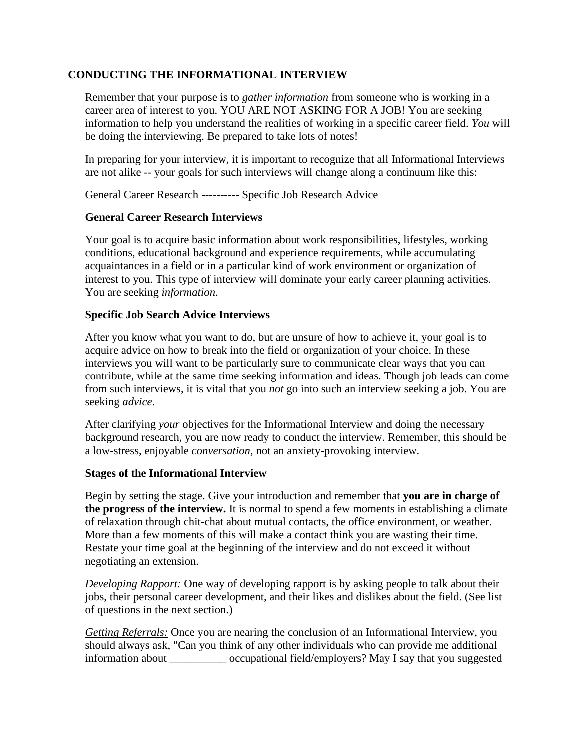#### **CONDUCTING THE INFORMATIONAL INTERVIEW**

Remember that your purpose is to *gather information* from someone who is working in a career area of interest to you. YOU ARE NOT ASKING FOR A JOB! You are seeking information to help you understand the realities of working in a specific career field. *You* will be doing the interviewing. Be prepared to take lots of notes!

In preparing for your interview, it is important to recognize that all Informational Interviews are not alike -- your goals for such interviews will change along a continuum like this:

General Career Research ---------- Specific Job Research Advice

#### **General Career Research Interviews**

Your goal is to acquire basic information about work responsibilities, lifestyles, working conditions, educational background and experience requirements, while accumulating acquaintances in a field or in a particular kind of work environment or organization of interest to you. This type of interview will dominate your early career planning activities. You are seeking *information*.

#### **Specific Job Search Advice Interviews**

After you know what you want to do, but are unsure of how to achieve it, your goal is to acquire advice on how to break into the field or organization of your choice. In these interviews you will want to be particularly sure to communicate clear ways that you can contribute, while at the same time seeking information and ideas. Though job leads can come from such interviews, it is vital that you *not* go into such an interview seeking a job. You are seeking *advice*.

After clarifying *your* objectives for the Informational Interview and doing the necessary background research, you are now ready to conduct the interview. Remember, this should be a low-stress, enjoyable *conversation*, not an anxiety-provoking interview.

#### **Stages of the Informational Interview**

Begin by setting the stage. Give your introduction and remember that **you are in charge of the progress of the interview.** It is normal to spend a few moments in establishing a climate of relaxation through chit-chat about mutual contacts, the office environment, or weather. More than a few moments of this will make a contact think you are wasting their time. Restate your time goal at the beginning of the interview and do not exceed it without negotiating an extension.

*Developing Rapport:* One way of developing rapport is by asking people to talk about their jobs, their personal career development, and their likes and dislikes about the field. (See list of questions in the next section.)

*Getting Referrals:* Once you are nearing the conclusion of an Informational Interview, you should always ask, "Can you think of any other individuals who can provide me additional information about \_\_\_\_\_\_\_\_\_\_ occupational field/employers? May I say that you suggested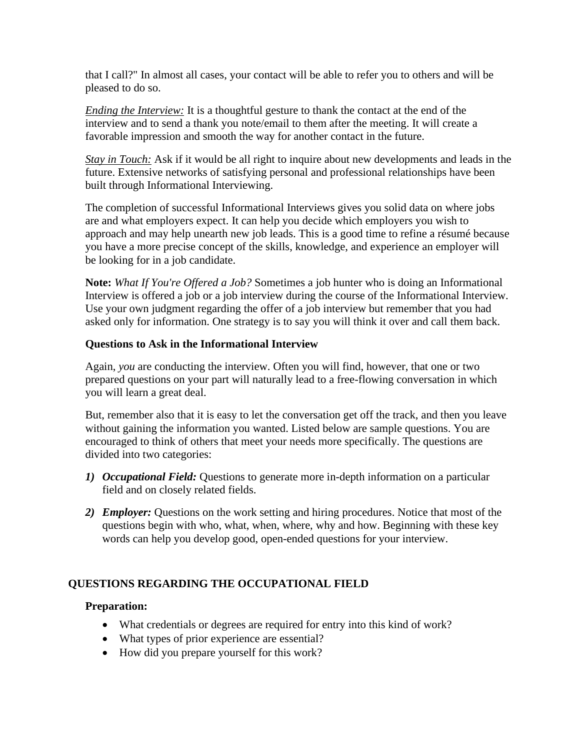that I call?" In almost all cases, your contact will be able to refer you to others and will be pleased to do so.

*Ending the Interview:* It is a thoughtful gesture to thank the contact at the end of the interview and to send a thank you note/email to them after the meeting. It will create a favorable impression and smooth the way for another contact in the future.

*Stay in Touch:* Ask if it would be all right to inquire about new developments and leads in the future. Extensive networks of satisfying personal and professional relationships have been built through Informational Interviewing.

The completion of successful Informational Interviews gives you solid data on where jobs are and what employers expect. It can help you decide which employers you wish to approach and may help unearth new job leads. This is a good time to refine a résumé because you have a more precise concept of the skills, knowledge, and experience an employer will be looking for in a job candidate.

**Note:** *What If You're Offered a Job?* Sometimes a job hunter who is doing an Informational Interview is offered a job or a job interview during the course of the Informational Interview. Use your own judgment regarding the offer of a job interview but remember that you had asked only for information. One strategy is to say you will think it over and call them back.

# **Questions to Ask in the Informational Interview**

Again, *you* are conducting the interview. Often you will find, however, that one or two prepared questions on your part will naturally lead to a free-flowing conversation in which you will learn a great deal.

But, remember also that it is easy to let the conversation get off the track, and then you leave without gaining the information you wanted. Listed below are sample questions. You are encouraged to think of others that meet your needs more specifically. The questions are divided into two categories:

- *1) Occupational Field:* Questions to generate more in-depth information on a particular field and on closely related fields.
- *2) Employer:* Questions on the work setting and hiring procedures. Notice that most of the questions begin with who, what, when, where, why and how. Beginning with these key words can help you develop good, open-ended questions for your interview.

# **QUESTIONS REGARDING THE OCCUPATIONAL FIELD**

# **Preparation:**

- What credentials or degrees are required for entry into this kind of work?
- What types of prior experience are essential?
- How did you prepare yourself for this work?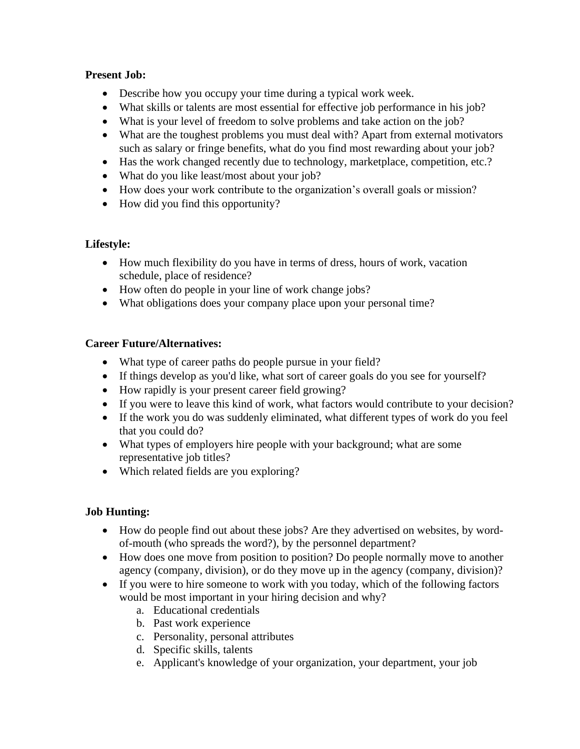# **Present Job:**

- Describe how you occupy your time during a typical work week.
- What skills or talents are most essential for effective job performance in his job?
- What is your level of freedom to solve problems and take action on the job?
- What are the toughest problems you must deal with? Apart from external motivators such as salary or fringe benefits, what do you find most rewarding about your job?
- Has the work changed recently due to technology, marketplace, competition, etc.?
- What do you like least/most about your job?
- How does your work contribute to the organization's overall goals or mission?
- How did you find this opportunity?

# **Lifestyle:**

- How much flexibility do you have in terms of dress, hours of work, vacation schedule, place of residence?
- How often do people in your line of work change jobs?
- What obligations does your company place upon your personal time?

# **Career Future/Alternatives:**

- What type of career paths do people pursue in your field?
- If things develop as you'd like, what sort of career goals do you see for yourself?
- How rapidly is your present career field growing?
- If you were to leave this kind of work, what factors would contribute to your decision?
- If the work you do was suddenly eliminated, what different types of work do you feel that you could do?
- What types of employers hire people with your background; what are some representative job titles?
- Which related fields are you exploring?

# **Job Hunting:**

- How do people find out about these jobs? Are they advertised on websites, by wordof-mouth (who spreads the word?), by the personnel department?
- How does one move from position to position? Do people normally move to another agency (company, division), or do they move up in the agency (company, division)?
- If you were to hire someone to work with you today, which of the following factors would be most important in your hiring decision and why?
	- a. Educational credentials
	- b. Past work experience
	- c. Personality, personal attributes
	- d. Specific skills, talents
	- e. Applicant's knowledge of your organization, your department, your job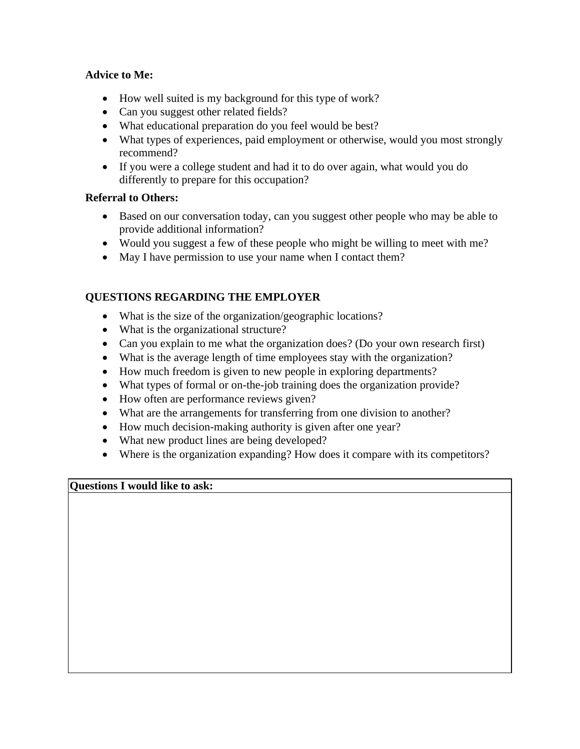# **Advice to Me:**

- How well suited is my background for this type of work?
- Can you suggest other related fields?
- What educational preparation do you feel would be best?
- What types of experiences, paid employment or otherwise, would you most strongly recommend?
- If you were a college student and had it to do over again, what would you do differently to prepare for this occupation?

# **Referral to Others:**

- Based on our conversation today, can you suggest other people who may be able to provide additional information?
- Would you suggest a few of these people who might be willing to meet with me?
- May I have permission to use your name when I contact them?

# **QUESTIONS REGARDING THE EMPLOYER**

- What is the size of the organization/geographic locations?
- What is the organizational structure?
- Can you explain to me what the organization does? (Do your own research first)
- What is the average length of time employees stay with the organization?
- How much freedom is given to new people in exploring departments?
- What types of formal or on-the-job training does the organization provide?
- How often are performance reviews given?
- What are the arrangements for transferring from one division to another?
- How much decision-making authority is given after one year?
- What new product lines are being developed?
- Where is the organization expanding? How does it compare with its competitors?

# **Questions I would like to ask:**